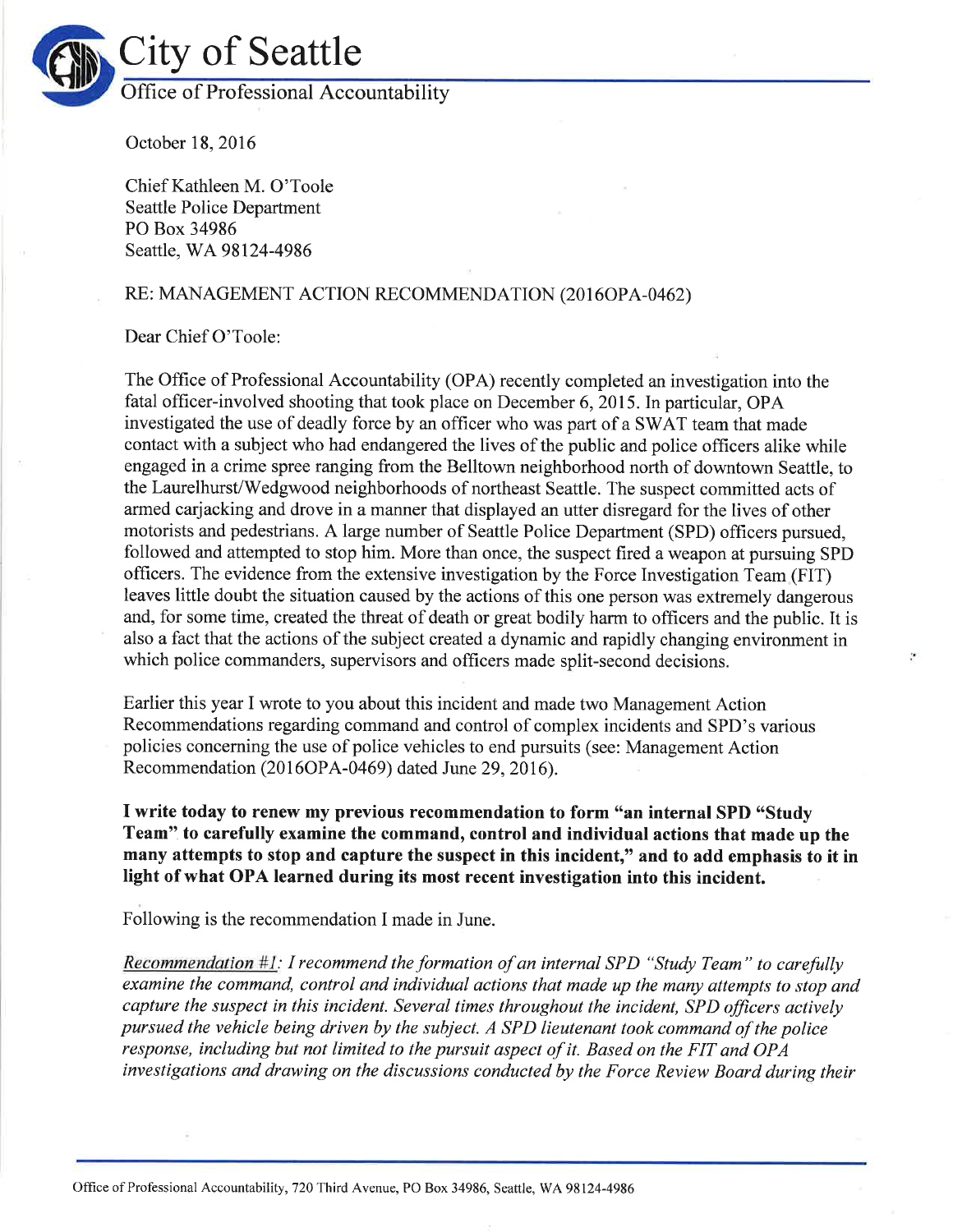

October 18,2016

Chief Kathleen M. O'Toole Seattle Police Department PO Box 34986 Seattle, WA 98124-4986

## RE: MANAGEMENT ACTION RECOMMENDATION (2016OPA-0462)

Dear Chief O'Toole:

The Office of Professional Accountability (OPA) recently completed an investigation into the fatal officer-involved shooting that took place on December 6,2015.In particular, OPA investigated the use of deadly force by an officer who was part of a SWAT team that made contact with a subject who had endangered the lives of the public and police officers alike while engaged in a crime spree ranging from the Belltown neighborhood north of downtown Seattle, to the Laurelhurst/Wedgwood neighborhoods of northeast Seattle. The suspect committed acts of armed carjacking and drove in a manner that displayed an utter disregard for the lives of other motorists and pedestrians. A large number of Seattle Police Department (SPD) officers pursued, followed and attempted to stop him. More than once, the suspect fired a weapon at pursuing SPD officers. The evidence from the extensive investigation by the Force Investigation Team (FIT) leaves little doubt the situation caused by the actions of this one person was extremely dangerous and, for some time, created the threat of death or great bodily harm to officers and the public. It is also a fact that the actions of the subject created a dynamic and rapidly changing environment in which police commanders, supervisors and officers made split-second decisions.

y.

Earlier this year I wrote to you about this incident and made two Management Action Recommendations regarding command and control of complex incidents and SPD's various policies concerning the use of police vehicles to end pursuits (see: Management Action Recommendation (2016OPA-0469) dated June 29, 2016).

I write today to renew my previous recommendation to form "an internal SPD "Study Team" to carefully examine the command, control and individual actions that made up the many attempts to stop and capture the suspect in this incident," and to add emphasis to it in light of what OPA learned during its most recent investigation into this incident.

Following is the recommendation I made in June.

Recommendation  $#1$ : I recommend the formation of an internal SPD "Study Team" to carefully examine the command, control and individual actions that made up the many attempts to stop and capture the suspect in this incident. Several times throughout the incident, SPD officers actively pursued the vehicle being driven by the subject. A SPD lieutenant took command of the police response, including but not limited to the pursuit aspect of it. Based on the FIT and OPA investigations and drawing on the discussions conducted by the Force Review Board during their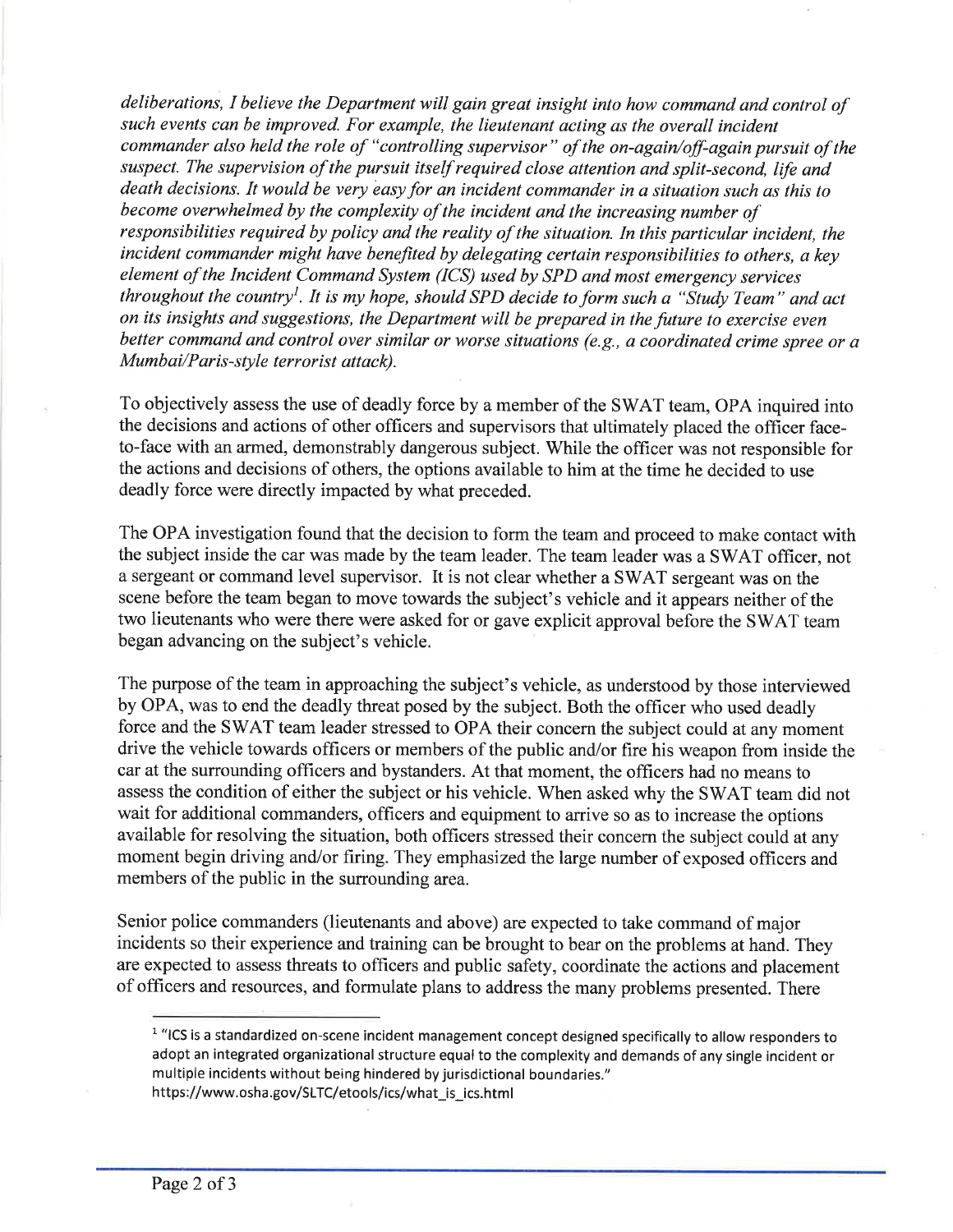deliberations, I believe the Department will gain great insight into how command and control of such events can be improved. For example, the lieutenant acting as the overall incident commander also held the role of "controlling supervisor" of the on-again/off-again pursuit of the suspect. The supervision of the pursuit itself required close attention ønd split-second, life and death decisions. It would be very easy for an incident commander in a situation such as this to become overwhelmed by the complexity of the incident and the increasing number of responsibilities required by policy and the reality of the situation. In this particular incident, the incident commander might have benefited by delegating certain responsibilities to others, a key element of the Incident Command System (ICS) used by SPD and most emergency services throughout the country<sup>1</sup>. It is my hope, should SPD decide to form such a "Study Team" and act on its insights and suggestions, the Department will be prepared in the future to exercise even better command and control over similar or worse situations (e.g., a coordinated crime spree or a Mumbai/Paris-style terrorist attack).

To objectively assess the use of deadly force by a member of the SWAT team, OPA inquired into the decisions and actions of other officers and supervisors that ultimately placed the officer faceto-face with an armed, demonstrably dangerous subject. While the officer was not responsible for the actions and decisions of others, the options available to him at the time he decided to use deadly force were directly impacted by what preceded.

The OPA investigation found that the decision to form the team and proceed to make contact with the subject inside the car was made by the team leader. The team leader was a SWAT officer, not a sergeant or command level supervisor. It is not clear whether a SWAT sergeant was on the scene before the team began to move towards the subject's vehicle and it appears neither of the two lieutenants who were there were asked for or gave explicit approval before the SWAT team began advancing on the subject's vehicle.

The purpose of the team in approaching the subject's vehicle, as understood by those interviewed by OPA, was to end the deadly threat posed by the subject. Both the officer who used deadly force and the SWAT team leader stressed to OPA their concern the subject could at any moment drive the vehicle towards officers or members of the public and/or fire his weapon from inside the car at the surrounding officers and bystanders. At that moment, the officers had no means to assess the condition of either the subject or his vehicle. When asked why the SWAT team did not wait for additional commanders, officers and equipment to arrive so as to increase the options available for resolving the situation, both officers stressed their concern the subject could at any moment begin driving and/or firing. They emphasized the large number of exposed officers and members of the public in the surrounding area.

Senior police commanders (lieutenants and above) are expected to take command of major incidents so their experience and training can be brought to bear on the problems at hand. They are expected to assess threats to officers and public safety, coordinate the actions and placement of officers and resources, and formulate plans to address the many problems presented. There

<sup>&</sup>lt;sup>1</sup> "ICS is a standardized on-scene incident management concept designed specifically to allow responders to adopt an integrated organizational structure equal to the complexity and demands of any single incident or multiple incidents without being hindered by jurisdictional boundaries." https://www.osha.gov/SLTC/etools/ics/what\_is\_ics.html